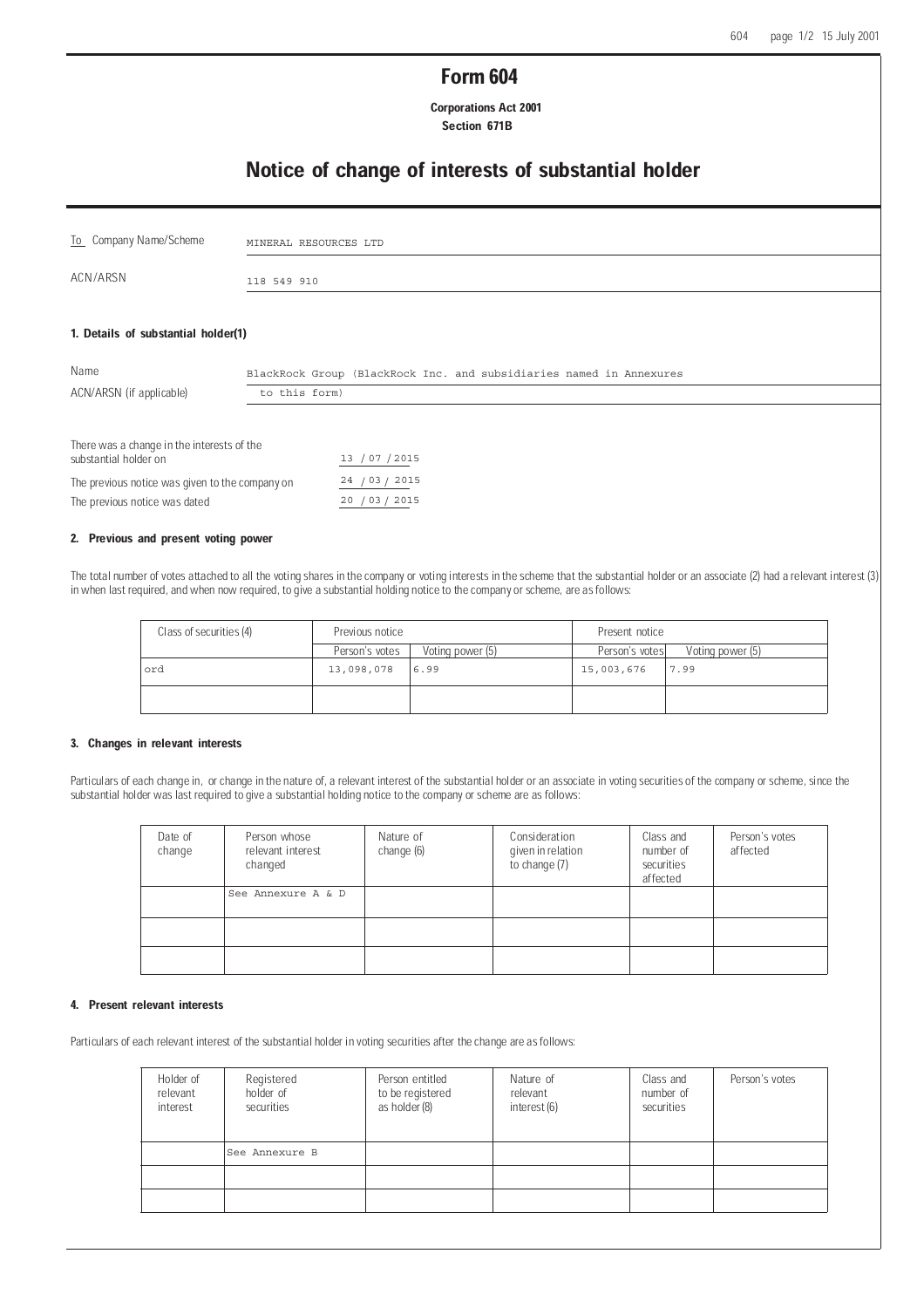## Form 604

 Corporations Act 2001 Section 671B

## Notice of change of interests of substantial holder

| To Company Name/Scheme                                              | MINERAL RESOURCES LTD                                               |
|---------------------------------------------------------------------|---------------------------------------------------------------------|
| ACN/ARSN                                                            | 118 549 910                                                         |
| 1. Details of substantial holder(1)                                 |                                                                     |
| Name                                                                | BlackRock Group (BlackRock Inc. and subsidiaries named in Annexures |
| ACN/ARSN (if applicable)                                            | to this form)                                                       |
| There was a change in the interests of the<br>substantial holder on | /07 / 2015<br>13                                                    |
| The previous notice was given to the company on                     | 24 / 03 / 2015                                                      |

# 2. Previous and present voting power

The previous notice was dated

The total number of votes attached to all the voting shares in the company or voting interests in the scheme that the substantial holder or an associate (2) had a relevant interest (3) in when last required, and when now required, to give a substantial holding notice to the company or scheme, are as follows:

 $20 / 03 / 2015$ 

| Class of securities (4) | Previous notice |                  | Present notice |                  |
|-------------------------|-----------------|------------------|----------------|------------------|
|                         | Person's votes  | Voting power (5) | Person's votes | Voting power (5) |
| ord                     | 13,098,078      | 6.99             | 15,003,676     | 7.99             |
|                         |                 |                  |                |                  |

#### 3. Changes in relevant interests

Particulars of each change in, or change in the nature of, a relevant interest of the substantial holder or an associate in voting securities of the company or scheme, since the substantial holder was last required to give a substantial holding notice to the company or scheme are as follows:

| Date of<br>change | Person whose<br>relevant interest<br>changed | Nature of<br>change (6) | Consideration<br>given in relation<br>to change (7) | Class and<br>number of<br>securities<br>affected | Person's votes<br>affected |
|-------------------|----------------------------------------------|-------------------------|-----------------------------------------------------|--------------------------------------------------|----------------------------|
|                   | See Annexure A & D                           |                         |                                                     |                                                  |                            |
|                   |                                              |                         |                                                     |                                                  |                            |
|                   |                                              |                         |                                                     |                                                  |                            |

### 4. Present relevant interests

Particulars of each relevant interest of the substantial holder in voting securities after the change are as follows:

| Holder of<br>relevant<br>interest | Registered<br>holder of<br>securities | Person entitled<br>to be registered<br>as holder (8) | Nature of<br>relevant<br>interest (6) | Class and<br>number of<br>securities | Person's votes |
|-----------------------------------|---------------------------------------|------------------------------------------------------|---------------------------------------|--------------------------------------|----------------|
|                                   | lSee Annexure B                       |                                                      |                                       |                                      |                |
|                                   |                                       |                                                      |                                       |                                      |                |
|                                   |                                       |                                                      |                                       |                                      |                |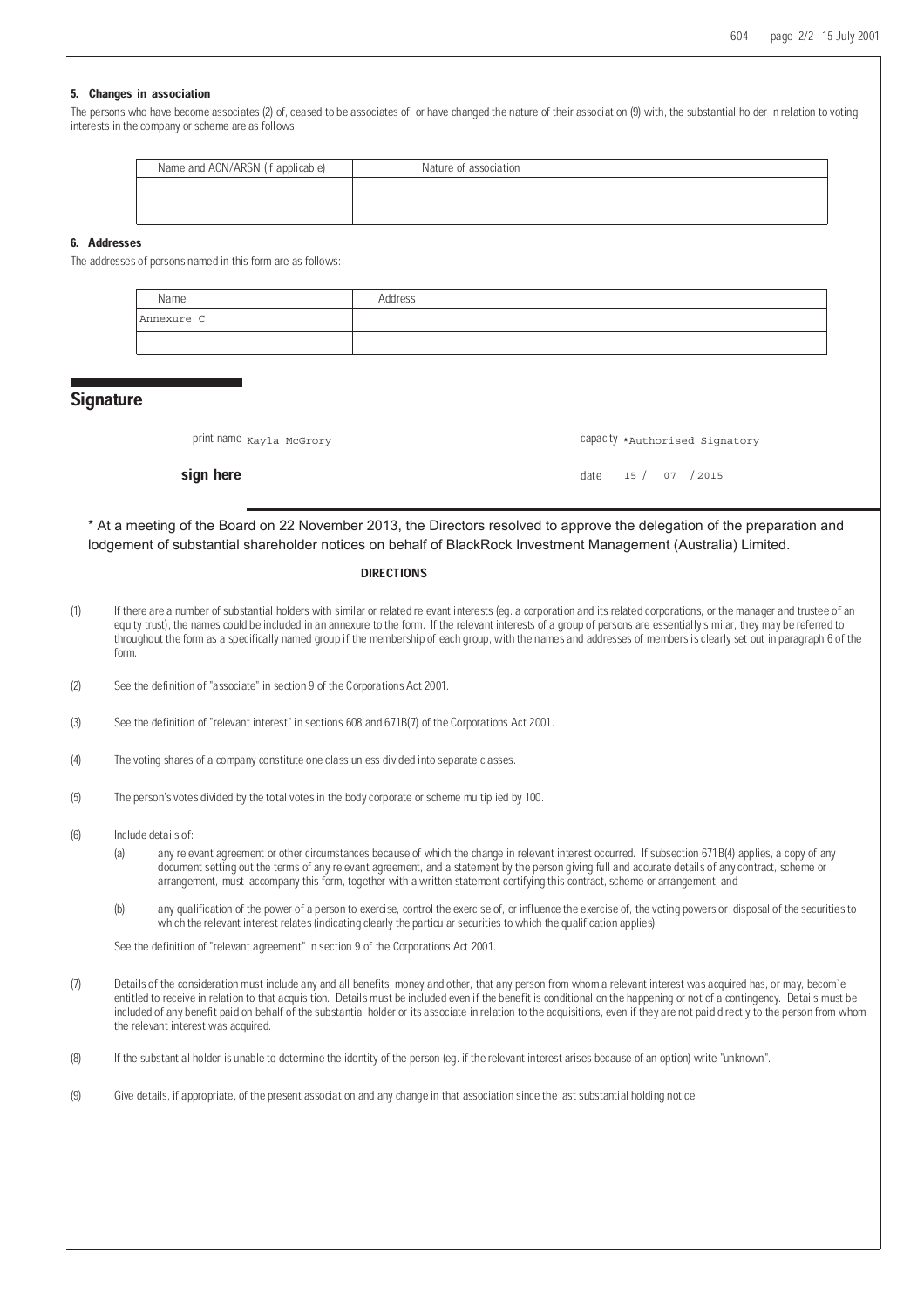#### 5. Changes in association

The persons who have become associates (2) of, ceased to be associates of, or have changed the nature of their association (9) with, the substantial holder in relation to voting interests in the company or scheme are as follows:

| Name and ACN/ARSN (if applicable) | Nature of association |
|-----------------------------------|-----------------------|
|                                   |                       |
|                                   |                       |

#### 6. Addresses

The addresses of persons named in this form are as follows:

| Name       | Address |
|------------|---------|
| Annexure C |         |
|            |         |

## **Signature**

| print name Kayla McGrory | Capacity *Authorised Signatory |
|--------------------------|--------------------------------|
|                          |                                |

**sign here**  $\det A = \det A$  and  $\det B = \det A$  and  $\det B = \det A$  and  $\det B = \det A$  and  $\det B = \det A$  and  $\det B = \det A$  and  $\det B = \det A$  and  $\det B = \det A$  and  $\det B = \det A$  and  $\det B = \det A$  and  $\det B = \det A$  and  $\det B = \det A$  and  $\det B = \det A$  and  $\det B = \det A$  and  $\det B = \det A$  and 15 / 07 / 2015

\* At a meeting of the Board on 22 November 2013, the Directors resolved to approve the delegation of the preparation and lodgement of substantial shareholder notices on behalf of BlackRock Investment Management (Australia) Limited.

#### **DIRECTIONS**

- (1) If there are a number of substantial holders with similar or related relevant interests (eg. a corporation and its related corporations, or the manager and trustee of an equity trust), the names could be included in an annexure to the form. If the relevant interests of a group of persons are essentially similar, they may be referred to throughout the form as a specifically named group if the membership of each group, with the names and addresses of members is clearly set out in paragraph 6 of the form.
- (2) See the definition of "associate" in section 9 of the Corporations Act 2001.
- (3) See the definition of "relevant interest" in sections 608 and 671B(7) of the Corporations Act 2001.
- (4) The voting shares of a company constitute one class unless divided into separate classes.
- (5) The person's votes divided by the total votes in the body corporate or scheme multiplied by 100.
- (6) Include details of:
	- (a) any relevant agreement or other circumstances because of which the change in relevant interest occurred. If subsection 671B(4) applies, a copy of any document setting out the terms of any relevant agreement, and a statement by the person giving full and accurate details of any contract, scheme or arrangement, must accompany this form, together with a written statement certifying this contract, scheme or arrangement; and
	- (b) any qualification of the power of a person to exercise, control the exercise of, or influence the exercise of, the voting powers or disposal of the securities to which the relevant interest relates (indicating clearly the particular securities to which the qualification applies).

See the definition of "relevant agreement" in section 9 of the Corporations Act 2001.

- (7) Details of the consideration must include any and all benefits, money and other, that any person from whom a relevant interest was acquired has, or may, becom'e entitled to receive in relation to that acquisition. Details must be included even if the benefit is conditional on the happening or not of a contingency. Details must be included of any benefit paid on behalf of the substantial holder or its associate in relation to the acquisitions, even if they are not paid directly to the person from whom the relevant interest was acquired.
- (8) If the substantial holder is unable to determine the identity of the person (eg. if the relevant interest arises because of an option) write "unknown".
- (9) Give details, if appropriate, of the present association and any change in that association since the last substantial holding notice.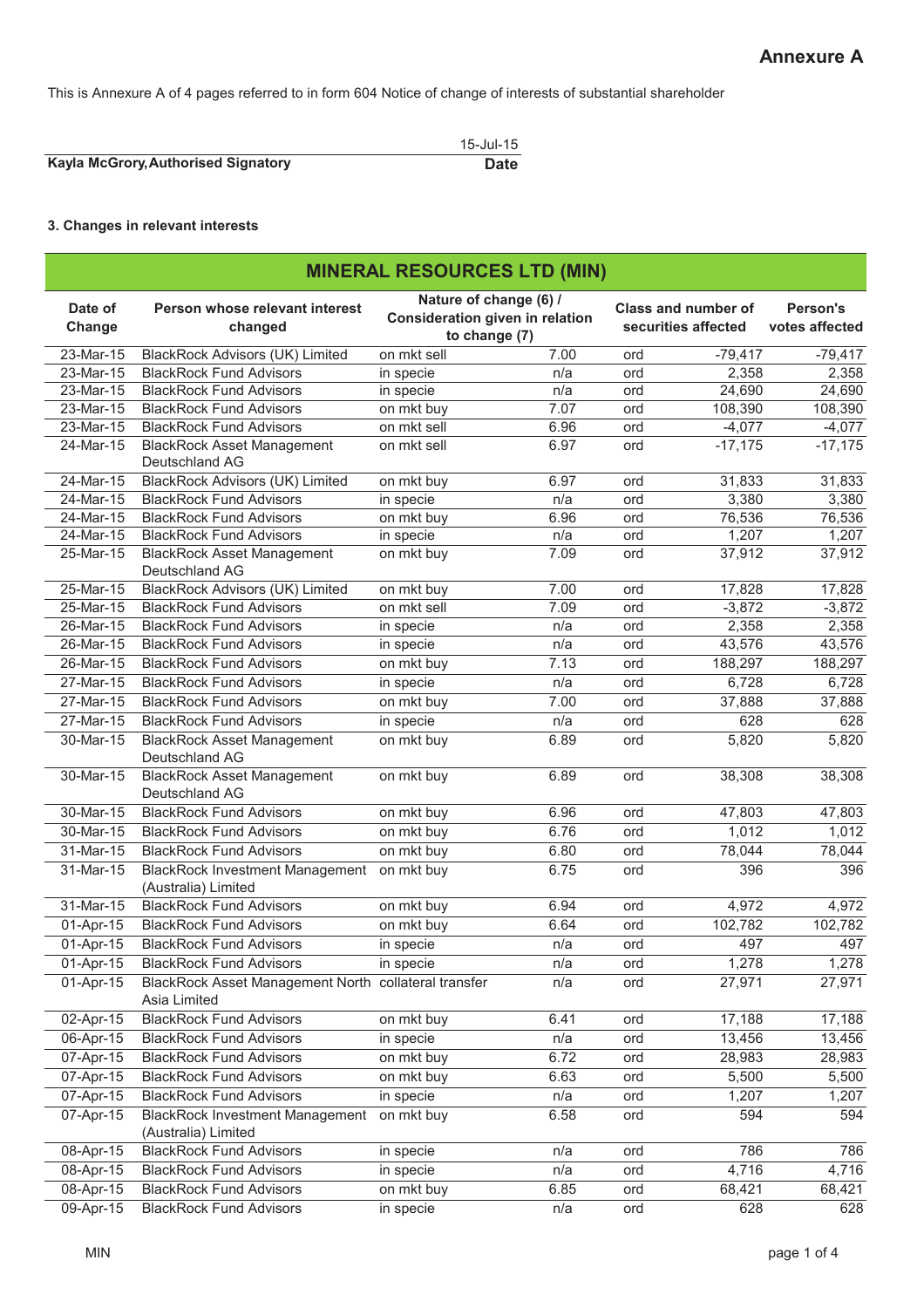This is Annexure A of 4 pages referred to in form 604 Notice of change of interests of substantial shareholder

|                                     | 15-Jul-15   |
|-------------------------------------|-------------|
| Kayla McGrory, Authorised Signatory | <b>Date</b> |

## **3. Changes in relevant interests**

|                   | <b>MINERAL RESOURCES LTD (MIN)</b>                                   |                                                                            |      |     |                                                   |                            |  |  |
|-------------------|----------------------------------------------------------------------|----------------------------------------------------------------------------|------|-----|---------------------------------------------------|----------------------------|--|--|
| Date of<br>Change | Person whose relevant interest<br>changed                            | Nature of change (6) /<br>Consideration given in relation<br>to change (7) |      |     | <b>Class and number of</b><br>securities affected | Person's<br>votes affected |  |  |
| 23-Mar-15         | <b>BlackRock Advisors (UK) Limited</b>                               | on mkt sell                                                                | 7.00 | ord | $-79,417$                                         | $-79,417$                  |  |  |
| 23-Mar-15         | <b>BlackRock Fund Advisors</b>                                       | in specie                                                                  | n/a  | ord | 2,358                                             | 2,358                      |  |  |
| 23-Mar-15         | <b>BlackRock Fund Advisors</b>                                       | in specie                                                                  | n/a  | ord | 24,690                                            | 24,690                     |  |  |
| 23-Mar-15         | <b>BlackRock Fund Advisors</b>                                       | on mkt buy                                                                 | 7.07 | ord | 108,390                                           | 108,390                    |  |  |
| 23-Mar-15         | <b>BlackRock Fund Advisors</b>                                       | on mkt sell                                                                | 6.96 | ord | $-4,077$                                          | $-4,077$                   |  |  |
| 24-Mar-15         | <b>BlackRock Asset Management</b><br>Deutschland AG                  | on mkt sell                                                                | 6.97 | ord | $-17,175$                                         | $-17,175$                  |  |  |
| 24-Mar-15         | <b>BlackRock Advisors (UK) Limited</b>                               | on mkt buy                                                                 | 6.97 | ord | 31,833                                            | 31,833                     |  |  |
| 24-Mar-15         | <b>BlackRock Fund Advisors</b>                                       | in specie                                                                  | n/a  | ord | 3,380                                             | 3,380                      |  |  |
| 24-Mar-15         | <b>BlackRock Fund Advisors</b>                                       | on mkt buy                                                                 | 6.96 | ord | 76,536                                            | 76,536                     |  |  |
| 24-Mar-15         | <b>BlackRock Fund Advisors</b>                                       | in specie                                                                  | n/a  | ord | 1,207                                             | 1,207                      |  |  |
| 25-Mar-15         | <b>BlackRock Asset Management</b><br>Deutschland AG                  | on mkt buy                                                                 | 7.09 | ord | 37,912                                            | 37,912                     |  |  |
| 25-Mar-15         | <b>BlackRock Advisors (UK) Limited</b>                               | on mkt buy                                                                 | 7.00 | ord | 17,828                                            | 17,828                     |  |  |
| 25-Mar-15         | <b>BlackRock Fund Advisors</b>                                       | on mkt sell                                                                | 7.09 | ord | $-3,872$                                          | $-3,872$                   |  |  |
| 26-Mar-15         | <b>BlackRock Fund Advisors</b>                                       | in specie                                                                  | n/a  | ord | 2,358                                             | 2,358                      |  |  |
| 26-Mar-15         | <b>BlackRock Fund Advisors</b>                                       | in specie                                                                  | n/a  | ord | 43,576                                            | 43,576                     |  |  |
| 26-Mar-15         | <b>BlackRock Fund Advisors</b>                                       | on mkt buy                                                                 | 7.13 | ord | 188,297                                           | 188,297                    |  |  |
| 27-Mar-15         | <b>BlackRock Fund Advisors</b>                                       | in specie                                                                  | n/a  | ord | 6,728                                             | 6,728                      |  |  |
| 27-Mar-15         | <b>BlackRock Fund Advisors</b>                                       | on mkt buy                                                                 | 7.00 | ord | 37,888                                            | 37,888                     |  |  |
| 27-Mar-15         | <b>BlackRock Fund Advisors</b>                                       | in specie                                                                  | n/a  | ord | 628                                               | 628                        |  |  |
| 30-Mar-15         | <b>BlackRock Asset Management</b><br>Deutschland AG                  | on mkt buy                                                                 | 6.89 | ord | 5,820                                             | 5,820                      |  |  |
| 30-Mar-15         | <b>BlackRock Asset Management</b><br>Deutschland AG                  | on mkt buy                                                                 | 6.89 | ord | 38,308                                            | 38,308                     |  |  |
| 30-Mar-15         | <b>BlackRock Fund Advisors</b>                                       | on mkt buy                                                                 | 6.96 | ord | 47,803                                            | 47,803                     |  |  |
| 30-Mar-15         | <b>BlackRock Fund Advisors</b>                                       | on mkt buy                                                                 | 6.76 | ord | 1,012                                             | 1,012                      |  |  |
| 31-Mar-15         | <b>BlackRock Fund Advisors</b>                                       | on mkt buy                                                                 | 6.80 | ord | 78,044                                            | 78,044                     |  |  |
| 31-Mar-15         | <b>BlackRock Investment Management</b><br>(Australia) Limited        | on mkt buy                                                                 | 6.75 | ord | 396                                               | 396                        |  |  |
| $31$ -Mar-15      | <b>BlackRock Fund Advisors</b>                                       | on mkt buy                                                                 | 6.94 | ord | 4,972                                             | 4,972                      |  |  |
| 01-Apr-15         | <b>BlackRock Fund Advisors</b>                                       | on mkt buy                                                                 | 6.64 | ord | 102,782                                           | 102,782                    |  |  |
| $01-Apr-15$       | <b>BlackRock Fund Advisors</b>                                       | in specie                                                                  | n/a  | ord | 497                                               | 497                        |  |  |
| 01-Apr-15         | <b>BlackRock Fund Advisors</b>                                       | in specie                                                                  | n/a  | ord | 1,278                                             | 1,278                      |  |  |
| 01-Apr-15         | BlackRock Asset Management North collateral transfer<br>Asia Limited |                                                                            | n/a  | ord | 27,971                                            | 27,971                     |  |  |
| $02-Apr-15$       | <b>BlackRock Fund Advisors</b>                                       | on mkt buy                                                                 | 6.41 | ord | 17,188                                            | 17,188                     |  |  |
| 06-Apr-15         | <b>BlackRock Fund Advisors</b>                                       | in specie                                                                  | n/a  | ord | 13,456                                            | 13,456                     |  |  |
| 07-Apr-15         | <b>BlackRock Fund Advisors</b>                                       | on mkt buy                                                                 | 6.72 | ord | 28,983                                            | 28,983                     |  |  |
| 07-Apr-15         | <b>BlackRock Fund Advisors</b>                                       | on mkt buy                                                                 | 6.63 | ord | 5,500                                             | 5,500                      |  |  |
| 07-Apr-15         | <b>BlackRock Fund Advisors</b>                                       | in specie                                                                  | n/a  | ord | 1,207                                             | 1,207                      |  |  |
| 07-Apr-15         | <b>BlackRock Investment Management</b><br>(Australia) Limited        | on mkt buy                                                                 | 6.58 | ord | 594                                               | 594                        |  |  |
| 08-Apr-15         | <b>BlackRock Fund Advisors</b>                                       | in specie                                                                  | n/a  | ord | 786                                               | 786                        |  |  |
| 08-Apr-15         | <b>BlackRock Fund Advisors</b>                                       | in specie                                                                  | n/a  | ord | 4,716                                             | 4,716                      |  |  |
| 08-Apr-15         | <b>BlackRock Fund Advisors</b>                                       | on mkt buy                                                                 | 6.85 | ord | 68,421                                            | 68,421                     |  |  |
| 09-Apr-15         | <b>BlackRock Fund Advisors</b>                                       |                                                                            |      |     | 628                                               | 628                        |  |  |
|                   |                                                                      | in specie                                                                  | n/a  | ord |                                                   |                            |  |  |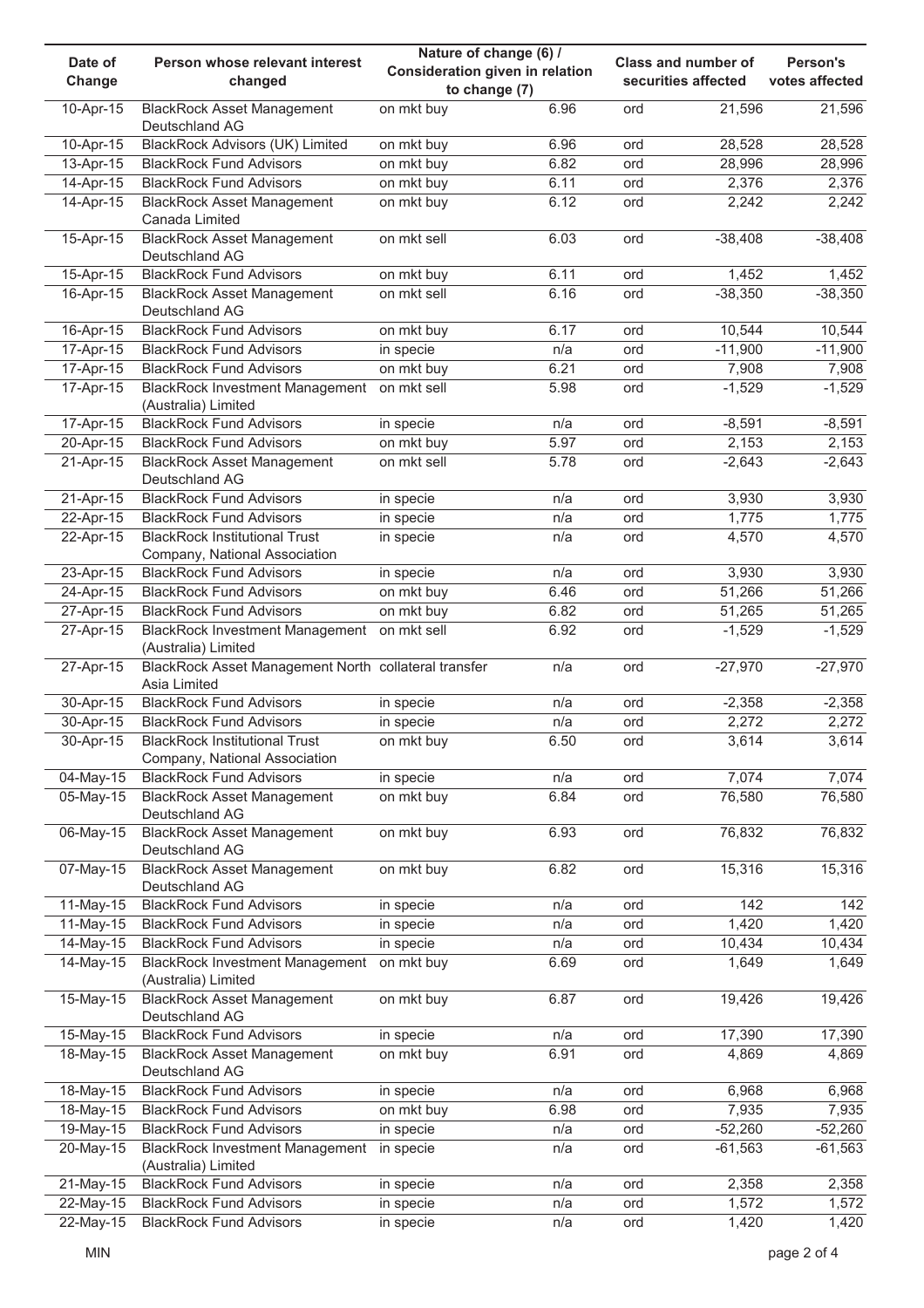| Date of                  | Person whose relevant interest                                        | Nature of change (6) /          |              | <b>Class and number of</b> |                     | Person's        |  |
|--------------------------|-----------------------------------------------------------------------|---------------------------------|--------------|----------------------------|---------------------|-----------------|--|
| Change                   | changed                                                               | Consideration given in relation |              |                            | securities affected | votes affected  |  |
| 10-Apr-15                | <b>BlackRock Asset Management</b>                                     | to change (7)<br>on mkt buy     | 6.96         | ord                        | 21,596              | 21,596          |  |
|                          | Deutschland AG                                                        |                                 |              |                            |                     |                 |  |
| 10-Apr-15                | BlackRock Advisors (UK) Limited<br><b>BlackRock Fund Advisors</b>     | on mkt buy                      | 6.96<br>6.82 | ord                        | 28,528              | 28,528          |  |
| 13-Apr-15<br>$14-Apr-15$ | <b>BlackRock Fund Advisors</b>                                        | on mkt buy<br>on mkt buy        | 6.11         | ord<br>ord                 | 28,996<br>2,376     | 28,996<br>2,376 |  |
| 14-Apr-15                | <b>BlackRock Asset Management</b><br>Canada Limited                   | on mkt buy                      | 6.12         | ord                        | 2,242               | 2,242           |  |
| 15-Apr-15                | <b>BlackRock Asset Management</b><br>Deutschland AG                   | on mkt sell                     | 6.03         | ord                        | $-38,408$           | $-38,408$       |  |
| 15-Apr-15                | <b>BlackRock Fund Advisors</b>                                        | on mkt buy                      | 6.11         | ord                        | 1,452               | 1,452           |  |
| $16$ -Apr- $15$          | <b>BlackRock Asset Management</b><br>Deutschland AG                   | on mkt sell                     | 6.16         | ord                        | $-38,350$           | $-38,350$       |  |
| 16-Apr-15                | <b>BlackRock Fund Advisors</b>                                        | on mkt buy                      | 6.17         | ord                        | 10,544              | 10,544          |  |
| 17-Apr-15                | <b>BlackRock Fund Advisors</b>                                        | in specie                       | n/a          | ord                        | $-11,900$           | $-11,900$       |  |
| 17-Apr-15                | <b>BlackRock Fund Advisors</b>                                        | on mkt buy                      | 6.21         | ord                        | 7,908               | 7,908           |  |
| 17-Apr-15                | BlackRock Investment Management on mkt sell<br>(Australia) Limited    |                                 | 5.98         | ord                        | $-1,529$            | $-1,529$        |  |
| 17-Apr-15                | <b>BlackRock Fund Advisors</b>                                        | in specie                       | n/a          | ord                        | $-8,591$            | $-8,591$        |  |
| 20-Apr-15                | <b>BlackRock Fund Advisors</b>                                        | on mkt buy                      | 5.97         | ord                        | 2,153               | 2,153           |  |
| 21-Apr-15                | <b>BlackRock Asset Management</b><br>Deutschland AG                   | on mkt sell                     | 5.78         | ord                        | $-2,643$            | $-2,643$        |  |
| 21-Apr-15                | <b>BlackRock Fund Advisors</b>                                        | in specie                       | n/a          | ord                        | 3,930               | 3,930           |  |
| 22-Apr-15                | <b>BlackRock Fund Advisors</b>                                        | in specie                       | n/a          | ord                        | 1,775               | 1,775           |  |
| 22-Apr-15                | <b>BlackRock Institutional Trust</b><br>Company, National Association | in specie                       | n/a          | ord                        | 4,570               | 4,570           |  |
| 23-Apr-15                | <b>BlackRock Fund Advisors</b>                                        | in specie                       | n/a          | ord                        | 3,930               | 3,930           |  |
| $24-Apr-15$              | <b>BlackRock Fund Advisors</b>                                        | on mkt buy                      | 6.46         | ord                        | 51,266              | 51,266          |  |
| $27-Apr-15$              | <b>BlackRock Fund Advisors</b>                                        | on mkt buy                      | 6.82         | ord                        | 51,265              | 51,265          |  |
| 27-Apr-15                | BlackRock Investment Management on mkt sell<br>(Australia) Limited    |                                 | 6.92         | ord                        | $-1,529$            | $-1,529$        |  |
| 27-Apr-15                | BlackRock Asset Management North collateral transfer<br>Asia Limited  |                                 | n/a          | ord                        | $-27,970$           | $-27,970$       |  |
| 30-Apr-15                | <b>BlackRock Fund Advisors</b>                                        | in specie                       | n/a          | ord                        | $-2,358$            | $-2,358$        |  |
| 30-Apr-15                | <b>BlackRock Fund Advisors</b>                                        | in specie                       | n/a          | ord                        | 2,272               | 2,272           |  |
| 30-Apr-15                | <b>BlackRock Institutional Trust</b><br>Company, National Association | on mkt buy                      | 6.50         | ord                        | 3,614               | 3,614           |  |
| 04-May-15                | <b>BlackRock Fund Advisors</b>                                        | in specie                       | n/a          | ord                        | 7,074               | 7,074           |  |
| 05-May-15                | <b>BlackRock Asset Management</b><br>Deutschland AG                   | on mkt buy                      | 6.84         | ord                        | 76,580              | 76,580          |  |
| 06-May-15                | <b>BlackRock Asset Management</b><br>Deutschland AG                   | on mkt buy                      | 6.93         | ord                        | 76,832              | 76,832          |  |
| 07-May-15                | <b>BlackRock Asset Management</b><br>Deutschland AG                   | on mkt buy                      | 6.82         | ord                        | 15,316              | 15,316          |  |
| 11-May-15                | <b>BlackRock Fund Advisors</b>                                        | in specie                       | n/a          | ord                        | 142                 | 142             |  |
| 11-May-15                | <b>BlackRock Fund Advisors</b>                                        | in specie                       | n/a          | ord                        | 1,420               | 1,420           |  |
| 14-May-15                | <b>BlackRock Fund Advisors</b>                                        | in specie                       | n/a          | ord                        | 10,434              | 10,434          |  |
| 14-May-15                | <b>BlackRock Investment Management</b><br>(Australia) Limited         | on mkt buy                      | 6.69         | ord                        | 1,649               | 1,649           |  |
| 15-May-15                | <b>BlackRock Asset Management</b><br>Deutschland AG                   | on mkt buy                      | 6.87         | ord                        | 19,426              | 19,426          |  |
| 15-May-15                | <b>BlackRock Fund Advisors</b>                                        | in specie                       | n/a          | ord                        | 17,390              | 17,390          |  |
| 18-May-15                | <b>BlackRock Asset Management</b><br>Deutschland AG                   | on mkt buy                      | 6.91         | ord                        | 4,869               | 4,869           |  |
| 18-May-15                | <b>BlackRock Fund Advisors</b>                                        | in specie                       | n/a          | ord                        | 6,968               | 6,968           |  |
| 18-May-15                | <b>BlackRock Fund Advisors</b>                                        | on mkt buy                      | 6.98         | ord                        | 7,935               | 7,935           |  |
| 19-May-15                | <b>BlackRock Fund Advisors</b>                                        | in specie                       | n/a          | ord                        | $-52,260$           | $-52,260$       |  |
| 20-May-15                | <b>BlackRock Investment Management</b><br>(Australia) Limited         | in specie                       | n/a          | ord                        | $-61,563$           | $-61,563$       |  |
| 21-May-15                | <b>BlackRock Fund Advisors</b>                                        | in specie                       | n/a          | ord                        | 2,358               | 2,358           |  |
| 22-May-15                | <b>BlackRock Fund Advisors</b>                                        | in specie                       | n/a          | ord                        | 1,572               | 1,572           |  |
| 22-May-15                | <b>BlackRock Fund Advisors</b>                                        | in specie                       | n/a          | ord                        | 1,420               | 1,420           |  |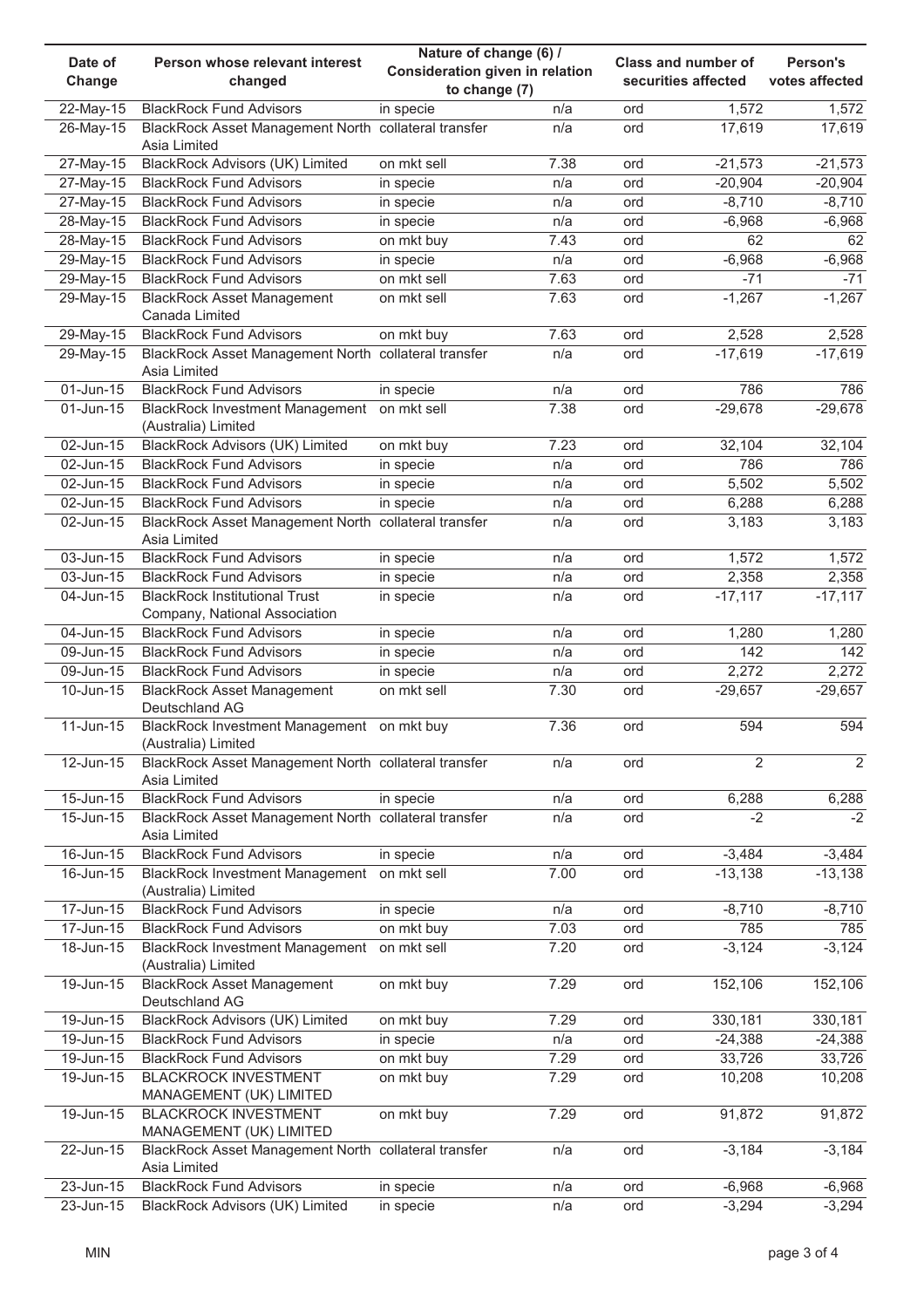|              |                                                      | Nature of change (6) /                 |      | Class and number of |                     | Person's       |  |
|--------------|------------------------------------------------------|----------------------------------------|------|---------------------|---------------------|----------------|--|
| Date of      | Person whose relevant interest                       | <b>Consideration given in relation</b> |      |                     |                     |                |  |
| Change       | changed                                              | to change (7)                          |      |                     | securities affected | votes affected |  |
| 22-May-15    | <b>BlackRock Fund Advisors</b>                       | in specie                              | n/a  | ord                 | 1,572               | 1,572          |  |
| 26-May-15    | BlackRock Asset Management North collateral transfer |                                        | n/a  | ord                 | 17,619              | 17,619         |  |
|              | Asia Limited                                         |                                        |      |                     |                     |                |  |
| 27-May-15    | <b>BlackRock Advisors (UK) Limited</b>               | on mkt sell                            | 7.38 | ord                 | $-21,573$           | $-21,573$      |  |
|              | <b>BlackRock Fund Advisors</b>                       |                                        | n/a  | ord                 | $-20,904$           | $-20,904$      |  |
| 27-May-15    |                                                      | in specie                              |      |                     |                     |                |  |
| 27-May-15    | <b>BlackRock Fund Advisors</b>                       | in specie                              | n/a  | ord                 | $-8,710$            | $-8,710$       |  |
| 28-May-15    | <b>BlackRock Fund Advisors</b>                       | in specie                              | n/a  | ord                 | $-6,968$            | $-6,968$       |  |
| 28-May-15    | <b>BlackRock Fund Advisors</b>                       | on mkt buy                             | 7.43 | ord                 | 62                  | 62             |  |
| 29-May-15    | <b>BlackRock Fund Advisors</b>                       | in specie                              | n/a  | ord                 | $-6,968$            | $-6,968$       |  |
| 29-May-15    | <b>BlackRock Fund Advisors</b>                       | on mkt sell                            | 7.63 | ord                 | $-71$               | $-71$          |  |
| 29-May-15    | <b>BlackRock Asset Management</b>                    | on mkt sell                            | 7.63 | ord                 | $-1,267$            | $-1,267$       |  |
|              | Canada Limited                                       |                                        |      |                     |                     |                |  |
| 29-May-15    | <b>BlackRock Fund Advisors</b>                       | on mkt buy                             | 7.63 | ord                 | 2,528               | 2,528          |  |
| 29-May-15    | BlackRock Asset Management North collateral transfer |                                        | n/a  | ord                 | $-17,619$           | $-17,619$      |  |
|              | Asia Limited                                         |                                        |      |                     |                     |                |  |
| 01-Jun-15    | <b>BlackRock Fund Advisors</b>                       |                                        | n/a  | ord                 | 786                 | 786            |  |
|              |                                                      | in specie                              |      |                     |                     |                |  |
| 01-Jun-15    | BlackRock Investment Management on mkt sell          |                                        | 7.38 | ord                 | $-29,678$           | $-29,678$      |  |
|              | (Australia) Limited                                  |                                        |      |                     |                     |                |  |
| 02-Jun-15    | BlackRock Advisors (UK) Limited                      | on mkt buy                             | 7.23 | ord                 | 32,104              | 32,104         |  |
| 02-Jun-15    | <b>BlackRock Fund Advisors</b>                       | in specie                              | n/a  | ord                 | 786                 | 786            |  |
| 02-Jun-15    | <b>BlackRock Fund Advisors</b>                       | in specie                              | n/a  | ord                 | 5,502               | 5,502          |  |
| 02-Jun-15    | <b>BlackRock Fund Advisors</b>                       | in specie                              | n/a  | ord                 | 6,288               | 6,288          |  |
| 02-Jun-15    | BlackRock Asset Management North collateral transfer |                                        | n/a  | ord                 | 3,183               | 3,183          |  |
|              | Asia Limited                                         |                                        |      |                     |                     |                |  |
| 03-Jun-15    | <b>BlackRock Fund Advisors</b>                       | in specie                              | n/a  | ord                 | 1,572               | 1,572          |  |
| 03-Jun-15    | <b>BlackRock Fund Advisors</b>                       | in specie                              | n/a  | ord                 | 2,358               | 2,358          |  |
| 04-Jun-15    | <b>BlackRock Institutional Trust</b>                 | in specie                              | n/a  | ord                 | $-17,117$           | $-17,117$      |  |
|              |                                                      |                                        |      |                     |                     |                |  |
|              | Company, National Association                        |                                        |      |                     |                     |                |  |
| 04-Jun-15    | <b>BlackRock Fund Advisors</b>                       | in specie                              | n/a  | ord                 | 1,280               | 1,280          |  |
| 09-Jun-15    | <b>BlackRock Fund Advisors</b>                       | in specie                              | n/a  | ord                 | 142                 | 142            |  |
| 09-Jun-15    | <b>BlackRock Fund Advisors</b>                       | in specie                              | n/a  | ord                 | 2,272               | 2,272          |  |
| 10-Jun-15    | <b>BlackRock Asset Management</b>                    | on mkt sell                            | 7.30 | ord                 | $-29,657$           | $-29,657$      |  |
|              | Deutschland AG                                       |                                        |      |                     |                     |                |  |
| $11$ -Jun-15 | BlackRock Investment Management on mkt buy           |                                        | 7.36 | ord                 | 594                 | 594            |  |
|              | (Australia) Limited                                  |                                        |      |                     |                     |                |  |
| 12-Jun-15    | BlackRock Asset Management North collateral transfer |                                        | n/a  | ord                 | $\overline{2}$      | $\overline{2}$ |  |
|              | Asia Limited                                         |                                        |      |                     |                     |                |  |
| 15-Jun-15    | <b>BlackRock Fund Advisors</b>                       | in specie                              | n/a  | ord                 | 6,288               | 6,288          |  |
| 15-Jun-15    | BlackRock Asset Management North collateral transfer |                                        | n/a  | ord                 | $-2$                | $-2$           |  |
|              | Asia Limited                                         |                                        |      |                     |                     |                |  |
| $16$ -Jun-15 | <b>BlackRock Fund Advisors</b>                       | in specie                              | n/a  | ord                 | $-3,484$            | $-3,484$       |  |
| 16-Jun-15    | <b>BlackRock Investment Management</b>               | on mkt sell                            | 7.00 | ord                 | $-13,138$           | $-13,138$      |  |
|              |                                                      |                                        |      |                     |                     |                |  |
|              | (Australia) Limited                                  |                                        |      |                     |                     |                |  |
| 17-Jun-15    | <b>BlackRock Fund Advisors</b>                       | in specie                              | n/a  | ord                 | $-8,710$            | $-8,710$       |  |
| 17-Jun-15    | <b>BlackRock Fund Advisors</b>                       | on mkt buy                             | 7.03 | ord                 | 785                 | 785            |  |
| 18-Jun-15    | <b>BlackRock Investment Management</b>               | on mkt sell                            | 7.20 | ord                 | $-3,124$            | $-3,124$       |  |
|              | (Australia) Limited                                  |                                        |      |                     |                     |                |  |
| 19-Jun-15    | <b>BlackRock Asset Management</b>                    | on mkt buy                             | 7.29 | ord                 | 152,106             | 152,106        |  |
|              | Deutschland AG                                       |                                        |      |                     |                     |                |  |
| 19-Jun-15    | BlackRock Advisors (UK) Limited                      | on mkt buy                             | 7.29 | ord                 | 330,181             | 330,181        |  |
| 19-Jun-15    | <b>BlackRock Fund Advisors</b>                       | in specie                              | n/a  | ord                 | $-24,388$           | $-24,388$      |  |
| 19-Jun-15    | <b>BlackRock Fund Advisors</b>                       | on mkt buy                             | 7.29 | ord                 | 33,726              | 33,726         |  |
| 19-Jun-15    | <b>BLACKROCK INVESTMENT</b>                          | on mkt buy                             | 7.29 | ord                 | 10,208              | 10,208         |  |
|              | MANAGEMENT (UK) LIMITED                              |                                        |      |                     |                     |                |  |
| 19-Jun-15    | <b>BLACKROCK INVESTMENT</b>                          |                                        | 7.29 |                     |                     |                |  |
|              |                                                      | on mkt buy                             |      | ord                 | 91,872              | 91,872         |  |
|              | MANAGEMENT (UK) LIMITED                              |                                        |      |                     |                     |                |  |
| 22-Jun-15    | BlackRock Asset Management North collateral transfer |                                        | n/a  | ord                 | $-3,184$            | $-3,184$       |  |
|              | Asia Limited                                         |                                        |      |                     |                     |                |  |
| 23-Jun-15    | <b>BlackRock Fund Advisors</b>                       | in specie                              | n/a  | ord                 | $-6,968$            | $-6,968$       |  |
| 23-Jun-15    | <b>BlackRock Advisors (UK) Limited</b>               | in specie                              | n/a  | ord                 | $-3,294$            | $-3,294$       |  |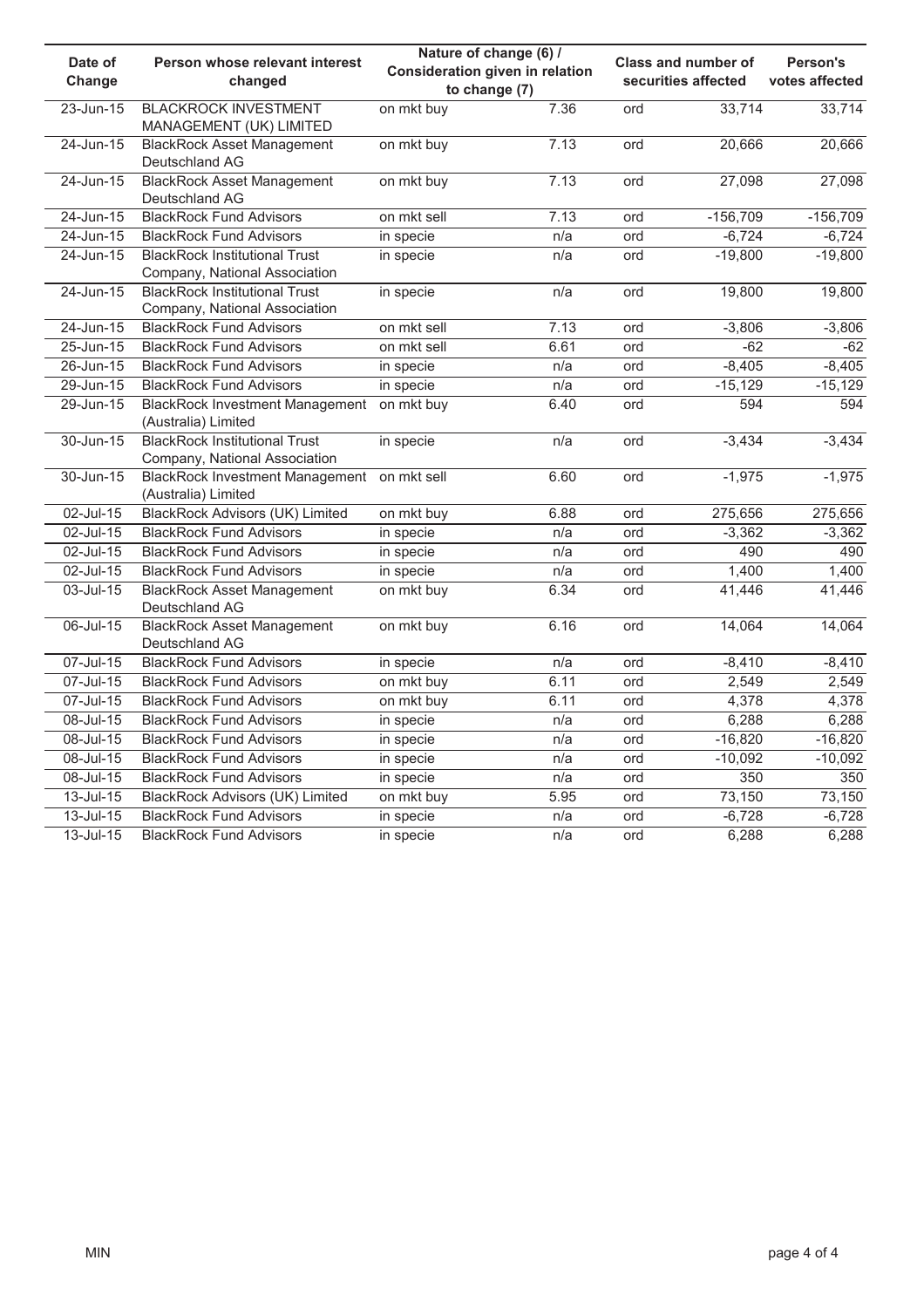|               |                                            | Nature of change (6) /          |      | Class and number of |                     |                |  |
|---------------|--------------------------------------------|---------------------------------|------|---------------------|---------------------|----------------|--|
| Date of       | Person whose relevant interest             | Consideration given in relation |      |                     |                     | Person's       |  |
| Change        | changed                                    | to change (7)                   |      |                     | securities affected | votes affected |  |
| 23-Jun-15     | <b>BLACKROCK INVESTMENT</b>                | on mkt buy                      | 7.36 | ord                 | 33,714              | 33,714         |  |
|               | MANAGEMENT (UK) LIMITED                    |                                 |      |                     |                     |                |  |
| $24$ -Jun-15  | <b>BlackRock Asset Management</b>          | on mkt buy                      | 7.13 | ord                 | 20,666              | 20,666         |  |
|               | Deutschland AG                             |                                 |      |                     |                     |                |  |
| $24$ -Jun-15  | <b>BlackRock Asset Management</b>          | on mkt buy                      | 7.13 | ord                 | 27,098              | 27,098         |  |
|               | Deutschland AG                             |                                 |      |                     |                     |                |  |
| $24$ -Jun-15  | <b>BlackRock Fund Advisors</b>             | on mkt sell                     | 7.13 | ord                 | $-156,709$          | $-156,709$     |  |
| 24-Jun-15     | <b>BlackRock Fund Advisors</b>             | in specie                       | n/a  | ord                 | $-6,724$            | $-6,724$       |  |
| $24$ -Jun-15  | <b>BlackRock Institutional Trust</b>       | in specie                       | n/a  | ord                 | $-19,800$           | $-19,800$      |  |
|               | Company, National Association              |                                 |      |                     |                     |                |  |
| $24$ -Jun-15  | <b>BlackRock Institutional Trust</b>       | in specie                       | n/a  | ord                 | 19,800              | 19,800         |  |
|               | Company, National Association              |                                 |      |                     |                     |                |  |
| $24$ -Jun-15  | <b>BlackRock Fund Advisors</b>             | on mkt sell                     | 7.13 | ord                 | $-3,806$            | $-3,806$       |  |
| $25 - Jun-15$ | <b>BlackRock Fund Advisors</b>             | on mkt sell                     | 6.61 | ord                 | $-62$               | $-62$          |  |
| $26$ -Jun-15  | <b>BlackRock Fund Advisors</b>             | in specie                       | n/a  | ord                 | $-8,405$            | $-8,405$       |  |
| 29-Jun-15     | <b>BlackRock Fund Advisors</b>             | in specie                       | n/a  | ord                 | $-15,129$           | $-15,129$      |  |
| $29$ -Jun-15  | BlackRock Investment Management on mkt buy |                                 | 6.40 | ord                 | 594                 | 594            |  |
|               | (Australia) Limited                        |                                 |      |                     |                     |                |  |
| 30-Jun-15     | <b>BlackRock Institutional Trust</b>       | in specie                       | n/a  | ord                 | $-3,434$            | $-3,434$       |  |
|               | Company, National Association              |                                 |      |                     |                     |                |  |
| $30 - Jun-15$ | <b>BlackRock Investment Management</b>     | on mkt sell                     | 6.60 | ord                 | $-1,975$            | $-1,975$       |  |
|               | (Australia) Limited                        |                                 |      |                     |                     |                |  |
| 02-Jul-15     | <b>BlackRock Advisors (UK) Limited</b>     | on mkt buy                      | 6.88 | ord                 | 275,656             | 275,656        |  |
| 02-Jul-15     | <b>BlackRock Fund Advisors</b>             | in specie                       | n/a  | ord                 | $-3,362$            | $-3,362$       |  |
| 02-Jul-15     | <b>BlackRock Fund Advisors</b>             | in specie                       | n/a  | ord                 | 490                 | 490            |  |
| 02-Jul-15     | <b>BlackRock Fund Advisors</b>             | in specie                       | n/a  | ord                 | 1,400               | 1,400          |  |
| 03-Jul-15     | <b>BlackRock Asset Management</b>          | on mkt buy                      | 6.34 | ord                 | 41,446              | 41,446         |  |
|               | Deutschland AG                             |                                 |      |                     |                     |                |  |
| 06-Jul-15     | <b>BlackRock Asset Management</b>          | on mkt buy                      | 6.16 | ord                 | 14,064              | 14,064         |  |
|               | Deutschland AG                             |                                 |      |                     |                     |                |  |
| 07-Jul-15     | <b>BlackRock Fund Advisors</b>             | in specie                       | n/a  | ord                 | $-8,410$            | $-8,410$       |  |
| 07-Jul-15     | <b>BlackRock Fund Advisors</b>             | on mkt buy                      | 6.11 | ord                 | 2,549               | 2,549          |  |
| 07-Jul-15     | <b>BlackRock Fund Advisors</b>             | on mkt buy                      | 6.11 | ord                 | 4,378               | 4,378          |  |
| 08-Jul-15     | <b>BlackRock Fund Advisors</b>             | in specie                       | n/a  | ord                 | 6,288               | 6,288          |  |
| 08-Jul-15     | <b>BlackRock Fund Advisors</b>             | in specie                       | n/a  | ord                 | $-16,820$           | $-16,820$      |  |
| 08-Jul-15     | <b>BlackRock Fund Advisors</b>             | in specie                       | n/a  | ord                 | $-10,092$           | $-10,092$      |  |
| 08-Jul-15     | <b>BlackRock Fund Advisors</b>             | in specie                       | n/a  | ord                 | 350                 | 350            |  |
| $13$ -Jul-15  | <b>BlackRock Advisors (UK) Limited</b>     | on mkt buy                      | 5.95 | ord                 | 73,150              | 73,150         |  |
| $13$ -Jul-15  | <b>BlackRock Fund Advisors</b>             | in specie                       | n/a  | ord                 | $-6,728$            | $-6,728$       |  |
| $13$ -Jul-15  | <b>BlackRock Fund Advisors</b>             | in specie                       | n/a  | ord                 | 6,288               | 6,288          |  |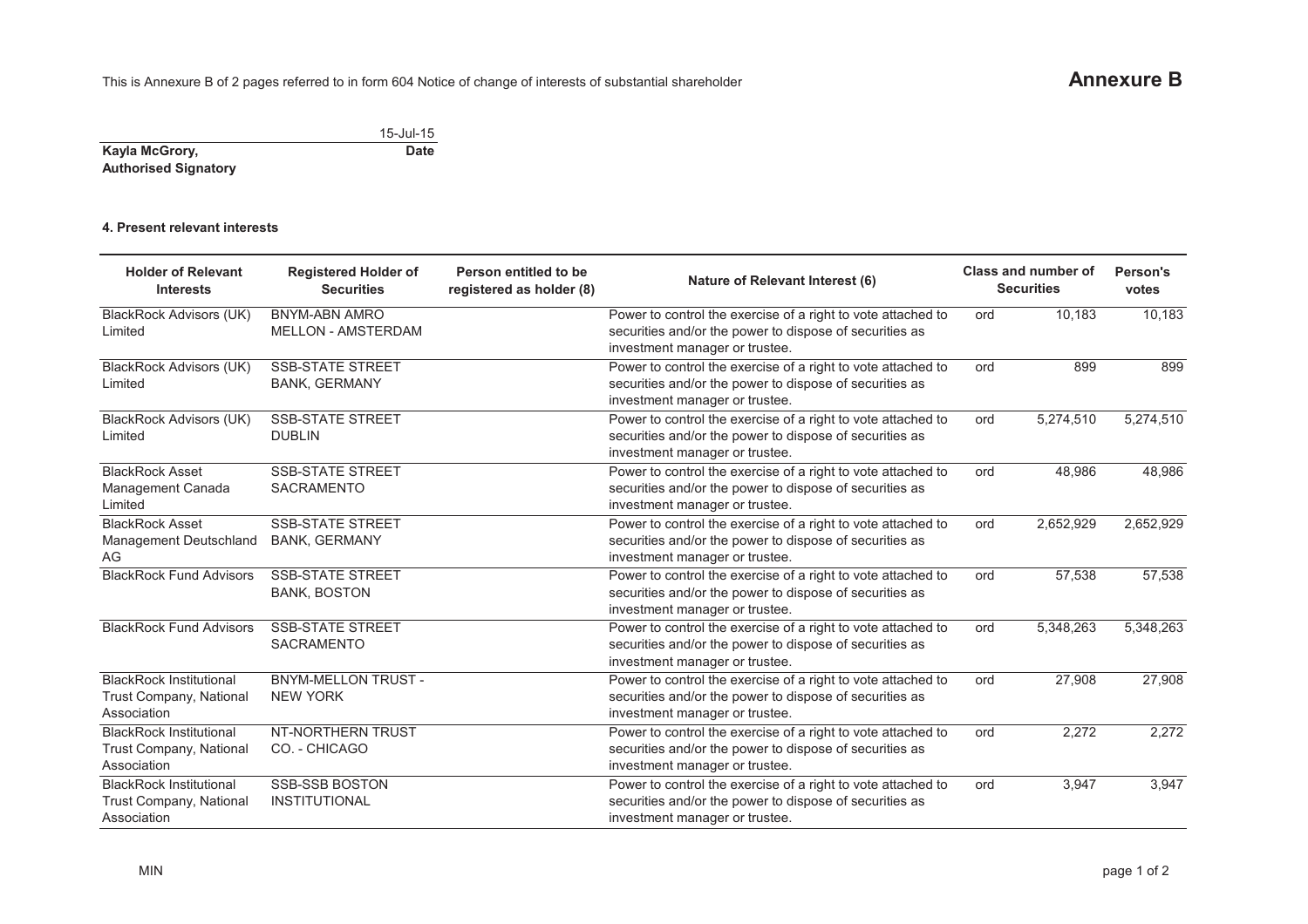|                             | 15-Jul-15   |
|-----------------------------|-------------|
| Kayla McGrory,              | <b>Date</b> |
| <b>Authorised Signatory</b> |             |

## **4. Present relevant interests**

| <b>Holder of Relevant</b><br><b>Interests</b>                                   | <b>Registered Holder of</b><br><b>Securities</b>  | Person entitled to be<br>registered as holder (8) | Nature of Relevant Interest (6)                                                                                                                           |     | Class and number of<br><b>Securities</b> | Person's<br>votes |
|---------------------------------------------------------------------------------|---------------------------------------------------|---------------------------------------------------|-----------------------------------------------------------------------------------------------------------------------------------------------------------|-----|------------------------------------------|-------------------|
| <b>BlackRock Advisors (UK)</b><br>Limited                                       | <b>BNYM-ABN AMRO</b><br><b>MELLON - AMSTERDAM</b> |                                                   | Power to control the exercise of a right to vote attached to<br>securities and/or the power to dispose of securities as<br>investment manager or trustee. | ord | 10,183                                   | 10,183            |
| <b>BlackRock Advisors (UK)</b><br>Limited                                       | <b>SSB-STATE STREET</b><br><b>BANK, GERMANY</b>   |                                                   | Power to control the exercise of a right to vote attached to<br>securities and/or the power to dispose of securities as<br>investment manager or trustee. | ord | 899                                      | 899               |
| BlackRock Advisors (UK)<br>Limited                                              | <b>SSB-STATE STREET</b><br><b>DUBLIN</b>          |                                                   | Power to control the exercise of a right to vote attached to<br>securities and/or the power to dispose of securities as<br>investment manager or trustee. | ord | 5,274,510                                | 5,274,510         |
| <b>BlackRock Asset</b><br>Management Canada<br>Limited                          | <b>SSB-STATE STREET</b><br><b>SACRAMENTO</b>      |                                                   | Power to control the exercise of a right to vote attached to<br>securities and/or the power to dispose of securities as<br>investment manager or trustee. | ord | 48,986                                   | 48,986            |
| <b>BlackRock Asset</b><br>Management Deutschland<br>AG                          | <b>SSB-STATE STREET</b><br><b>BANK, GERMANY</b>   |                                                   | Power to control the exercise of a right to vote attached to<br>securities and/or the power to dispose of securities as<br>investment manager or trustee. | ord | 2,652,929                                | 2,652,929         |
| <b>BlackRock Fund Advisors</b>                                                  | <b>SSB-STATE STREET</b><br><b>BANK, BOSTON</b>    |                                                   | Power to control the exercise of a right to vote attached to<br>securities and/or the power to dispose of securities as<br>investment manager or trustee. | ord | 57,538                                   | 57,538            |
| <b>BlackRock Fund Advisors</b>                                                  | <b>SSB-STATE STREET</b><br><b>SACRAMENTO</b>      |                                                   | Power to control the exercise of a right to vote attached to<br>securities and/or the power to dispose of securities as<br>investment manager or trustee. | ord | 5,348,263                                | 5,348,263         |
| <b>BlackRock Institutional</b><br>Trust Company, National<br>Association        | <b>BNYM-MELLON TRUST -</b><br><b>NEW YORK</b>     |                                                   | Power to control the exercise of a right to vote attached to<br>securities and/or the power to dispose of securities as<br>investment manager or trustee. | ord | 27,908                                   | 27,908            |
| <b>BlackRock Institutional</b><br><b>Trust Company, National</b><br>Association | NT-NORTHERN TRUST<br>CO. - CHICAGO                |                                                   | Power to control the exercise of a right to vote attached to<br>securities and/or the power to dispose of securities as<br>investment manager or trustee. | ord | 2,272                                    | 2,272             |
| <b>BlackRock Institutional</b><br>Trust Company, National<br>Association        | <b>SSB-SSB BOSTON</b><br><b>INSTITUTIONAL</b>     |                                                   | Power to control the exercise of a right to vote attached to<br>securities and/or the power to dispose of securities as<br>investment manager or trustee. | ord | 3,947                                    | 3,947             |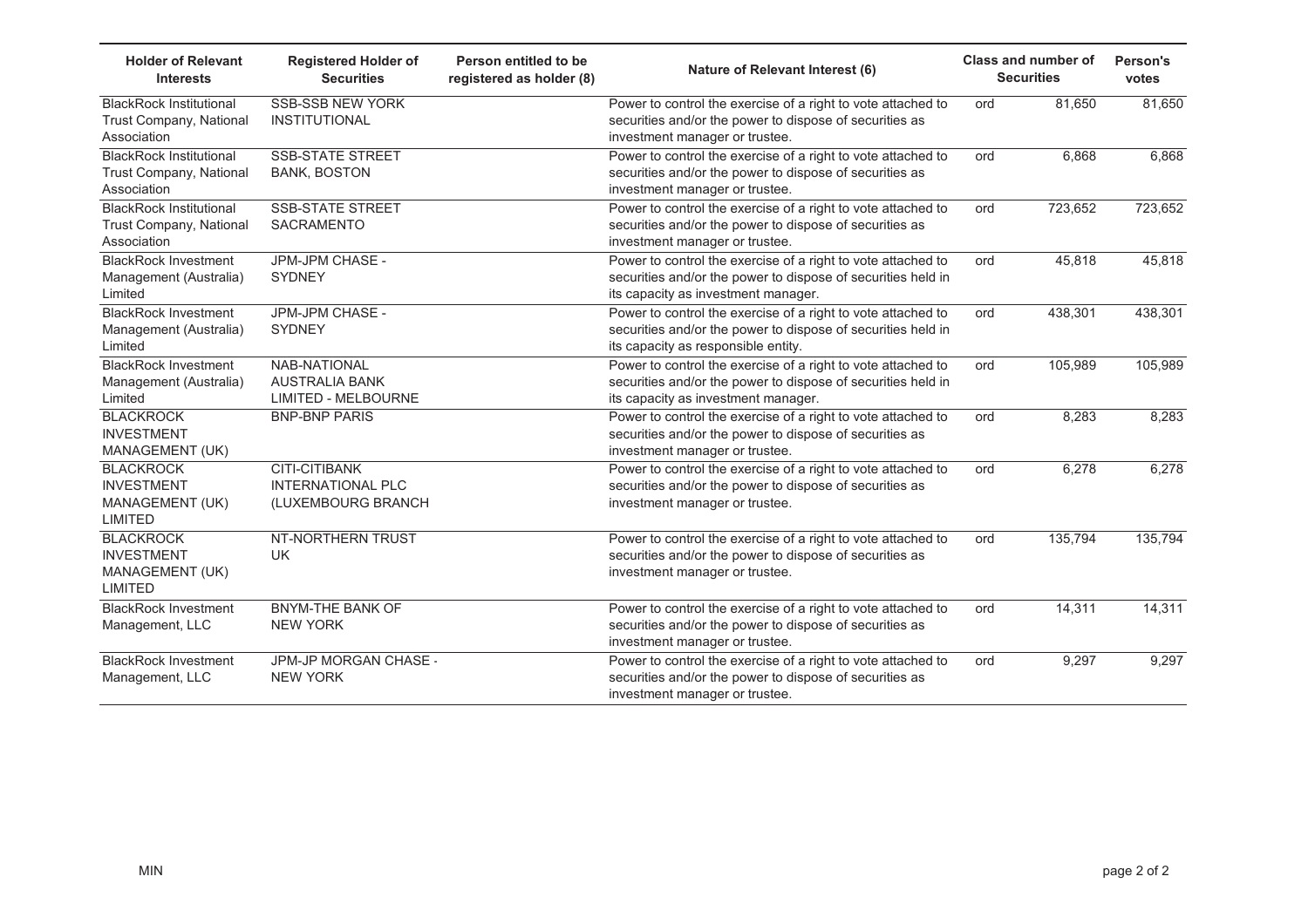| <b>Holder of Relevant</b><br><b>Interests</b>                            | <b>Registered Holder of</b><br><b>Securities</b>                    | Person entitled to be<br>registered as holder (8) | Nature of Relevant Interest (6)                                                                                                                                     | <b>Class and number of</b><br><b>Securities</b> |         | Person's<br>votes |
|--------------------------------------------------------------------------|---------------------------------------------------------------------|---------------------------------------------------|---------------------------------------------------------------------------------------------------------------------------------------------------------------------|-------------------------------------------------|---------|-------------------|
| <b>BlackRock Institutional</b><br>Trust Company, National<br>Association | <b>SSB-SSB NEW YORK</b><br><b>INSTITUTIONAL</b>                     |                                                   | Power to control the exercise of a right to vote attached to<br>securities and/or the power to dispose of securities as<br>investment manager or trustee.           | ord                                             | 81,650  | 81,650            |
| <b>BlackRock Institutional</b><br>Trust Company, National<br>Association | <b>SSB-STATE STREET</b><br><b>BANK, BOSTON</b>                      |                                                   | Power to control the exercise of a right to vote attached to<br>securities and/or the power to dispose of securities as<br>investment manager or trustee.           | ord                                             | 6,868   | 6,868             |
| <b>BlackRock Institutional</b><br>Trust Company, National<br>Association | <b>SSB-STATE STREET</b><br>SACRAMENTO                               |                                                   | Power to control the exercise of a right to vote attached to<br>securities and/or the power to dispose of securities as<br>investment manager or trustee.           | ord                                             | 723,652 | 723,652           |
| <b>BlackRock Investment</b><br>Management (Australia)<br>Limited         | JPM-JPM CHASE -<br><b>SYDNEY</b>                                    |                                                   | Power to control the exercise of a right to vote attached to<br>securities and/or the power to dispose of securities held in<br>its capacity as investment manager. | ord                                             | 45,818  | 45,818            |
| <b>BlackRock Investment</b><br>Management (Australia)<br>Limited         | JPM-JPM CHASE -<br><b>SYDNEY</b>                                    |                                                   | Power to control the exercise of a right to vote attached to<br>securities and/or the power to dispose of securities held in<br>its capacity as responsible entity. | ord                                             | 438,301 | 438,301           |
| <b>BlackRock Investment</b><br>Management (Australia)<br>Limited         | NAB-NATIONAL<br><b>AUSTRALIA BANK</b><br><b>LIMITED - MELBOURNE</b> |                                                   | Power to control the exercise of a right to vote attached to<br>securities and/or the power to dispose of securities held in<br>its capacity as investment manager. | ord                                             | 105,989 | 105,989           |
| <b>BLACKROCK</b><br><b>INVESTMENT</b><br>MANAGEMENT (UK)                 | <b>BNP-BNP PARIS</b>                                                |                                                   | Power to control the exercise of a right to vote attached to<br>securities and/or the power to dispose of securities as<br>investment manager or trustee.           | ord                                             | 8,283   | 8,283             |
| <b>BLACKROCK</b><br><b>INVESTMENT</b><br>MANAGEMENT (UK)<br>LIMITED      | CITI-CITIBANK<br><b>INTERNATIONAL PLC</b><br>(LUXEMBOURG BRANCH     |                                                   | Power to control the exercise of a right to vote attached to<br>securities and/or the power to dispose of securities as<br>investment manager or trustee.           | ord                                             | 6,278   | 6,278             |
| <b>BLACKROCK</b><br><b>INVESTMENT</b><br>MANAGEMENT (UK)<br>LIMITED      | NT-NORTHERN TRUST<br><b>UK</b>                                      |                                                   | Power to control the exercise of a right to vote attached to<br>securities and/or the power to dispose of securities as<br>investment manager or trustee.           | ord                                             | 135,794 | 135,794           |
| <b>BlackRock Investment</b><br>Management, LLC                           | <b>BNYM-THE BANK OF</b><br><b>NEW YORK</b>                          |                                                   | Power to control the exercise of a right to vote attached to<br>securities and/or the power to dispose of securities as<br>investment manager or trustee.           | ord                                             | 14,311  | 14,311            |
| <b>BlackRock Investment</b><br>Management, LLC                           | JPM-JP MORGAN CHASE -<br><b>NEW YORK</b>                            |                                                   | Power to control the exercise of a right to vote attached to<br>securities and/or the power to dispose of securities as<br>investment manager or trustee.           | ord                                             | 9,297   | 9,297             |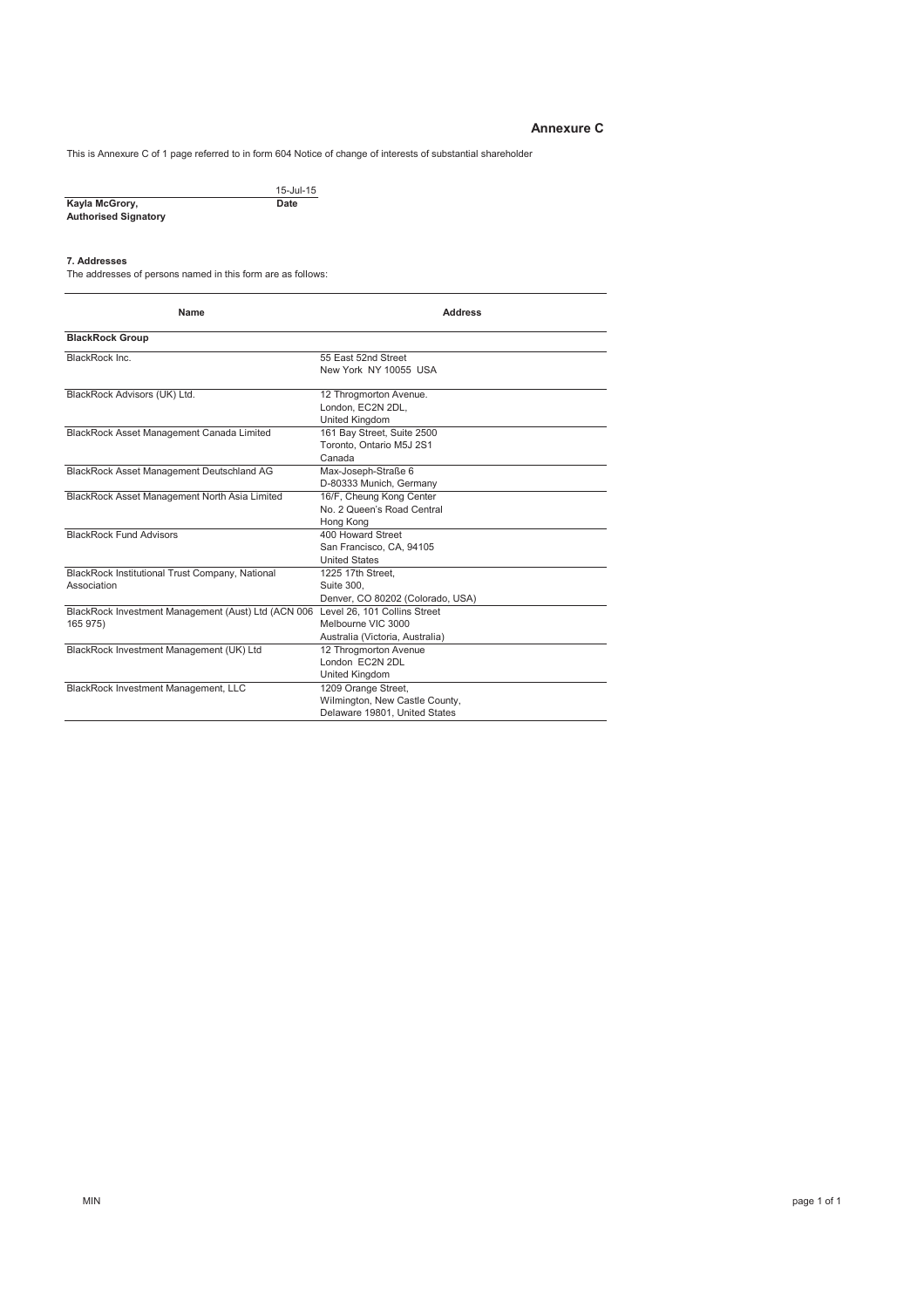### **Annexure C**

This is Annexure C of 1 page referred to in form 604 Notice of change of interests of substantial shareholder

|                             | $15 -$ Jul- $15$ |
|-----------------------------|------------------|
| Kayla McGrory,              | Date             |
| <b>Authorised Signatory</b> |                  |

#### **7. Addresses**

The addresses of persons named in this form are as follows:

| Name                                                            | <b>Address</b>                                                                         |
|-----------------------------------------------------------------|----------------------------------------------------------------------------------------|
| <b>BlackRock Group</b>                                          |                                                                                        |
| BlackRock Inc.                                                  | 55 East 52nd Street<br>New York NY 10055 USA                                           |
| BlackRock Advisors (UK) Ltd.                                    | 12 Throgmorton Avenue.<br>London, EC2N 2DL,<br><b>United Kingdom</b>                   |
| BlackRock Asset Management Canada Limited                       | 161 Bay Street, Suite 2500<br>Toronto, Ontario M5J 2S1<br>Canada                       |
| BlackRock Asset Management Deutschland AG                       | Max-Joseph-Straße 6<br>D-80333 Munich, Germany                                         |
| BlackRock Asset Management North Asia Limited                   | 16/F, Cheung Kong Center<br>No. 2 Queen's Road Central<br>Hong Kong                    |
| <b>BlackRock Fund Advisors</b>                                  | 400 Howard Street<br>San Francisco, CA, 94105<br><b>United States</b>                  |
| BlackRock Institutional Trust Company, National<br>Association  | 1225 17th Street.<br>Suite 300.<br>Denver, CO 80202 (Colorado, USA)                    |
| BlackRock Investment Management (Aust) Ltd (ACN 006<br>165 975) | Level 26, 101 Collins Street<br>Melbourne VIC 3000<br>Australia (Victoria, Australia)  |
| BlackRock Investment Management (UK) Ltd                        | 12 Throamorton Avenue<br>London EC2N 2DL<br>United Kingdom                             |
| BlackRock Investment Management, LLC                            | 1209 Orange Street,<br>Wilmington, New Castle County,<br>Delaware 19801, United States |